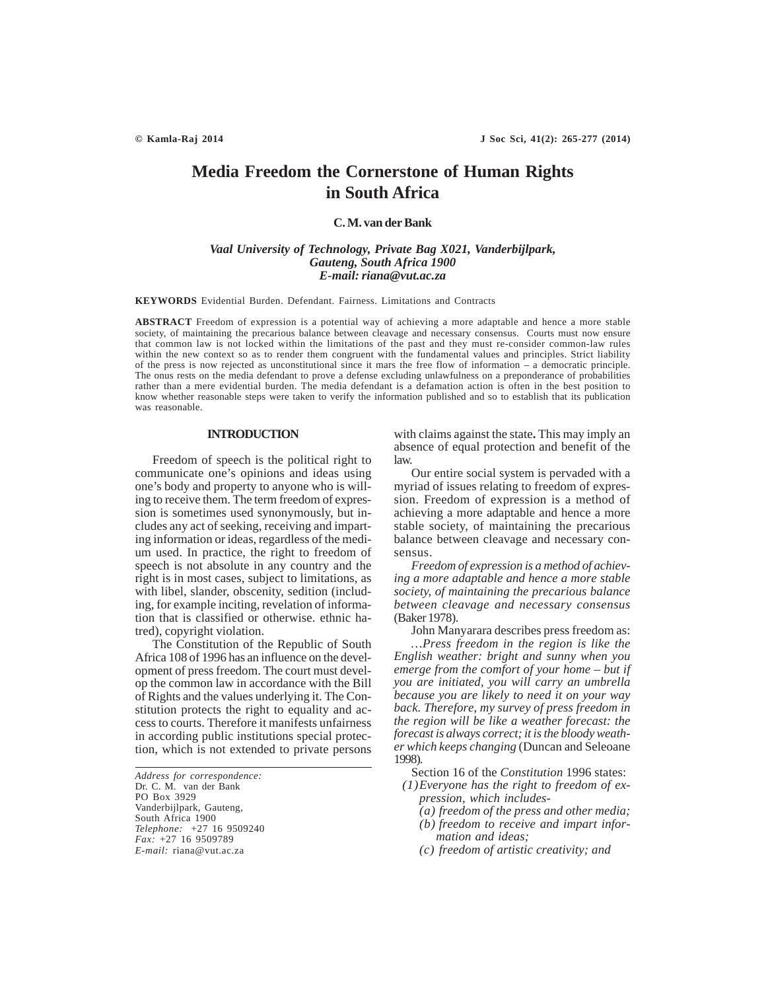# **Media Freedom the Cornerstone of Human Rights in South Africa**

## **C. M. van der Bank**

## *Vaal University of Technology, Private Bag X021, Vanderbijlpark, Gauteng, South Africa 1900 E-mail: riana@vut.ac.za*

**KEYWORDS** Evidential Burden. Defendant. Fairness. Limitations and Contracts

**ABSTRACT** Freedom of expression is a potential way of achieving a more adaptable and hence a more stable society, of maintaining the precarious balance between cleavage and necessary consensus. Courts must now ensure that common law is not locked within the limitations of the past and they must re-consider common-law rules within the new context so as to render them congruent with the fundamental values and principles. Strict liability of the press is now rejected as unconstitutional since it mars the free flow of information – a democratic principle. The onus rests on the media defendant to prove a defense excluding unlawfulness on a preponderance of probabilities rather than a mere evidential burden. The media defendant is a defamation action is often in the best position to know whether reasonable steps were taken to verify the information published and so to establish that its publication was reasonable.

## **INTRODUCTION**

Freedom of speech is the political right to communicate one's opinions and ideas using one's body and property to anyone who is willing to receive them. The term freedom of expression is sometimes used synonymously, but includes any act of seeking, receiving and imparting information or ideas, regardless of the medium used. In practice, the right to freedom of speech is not absolute in any country and the right is in most cases, subject to limitations, as with libel, slander, obscenity, sedition (including, for example inciting, revelation of information that is classified or otherwise. ethnic hatred), copyright violation.

The Constitution of the Republic of South Africa 108 of 1996 has an influence on the development of press freedom. The court must develop the common law in accordance with the Bill of Rights and the values underlying it. The Constitution protects the right to equality and access to courts. Therefore it manifests unfairness in according public institutions special protection, which is not extended to private persons

*Address for correspondence:* Dr. C. M. van der Bank PO Box 3929 Vanderbijlpark, Gauteng, South Africa 1900 *Telephone:* +27 16 9509240 *Fax:* +27 16 9509789 *E-mail:* riana@vut.ac.za

with claims against the state**.** This may imply an absence of equal protection and benefit of the law.

Our entire social system is pervaded with a myriad of issues relating to freedom of expression. Freedom of expression is a method of achieving a more adaptable and hence a more stable society, of maintaining the precarious balance between cleavage and necessary consensus.

*Freedom of expression is a method of achieving a more adaptable and hence a more stable society, of maintaining the precarious balance between cleavage and necessary consensus* (Baker 1978).

John Manyarara describes press freedom as:

*…Press freedom in the region is like the English weather: bright and sunny when you emerge from the comfort of your home – but if you are initiated, you will carry an umbrella because you are likely to need it on your way back. Therefore, my survey of press freedom in the region will be like a weather forecast: the forecast is always correct; it is the bloody weather which keeps changing* (Duncan and Seleoane 1998).

Section 16 of the *Constitution* 1996 states:

- *(1)Everyone has the right to freedom of expression, which includes-*
	- *(a) freedom of the press and other media;*
	- *(b) freedom to receive and impart information and ideas;*
	- *(c) freedom of artistic creativity; and*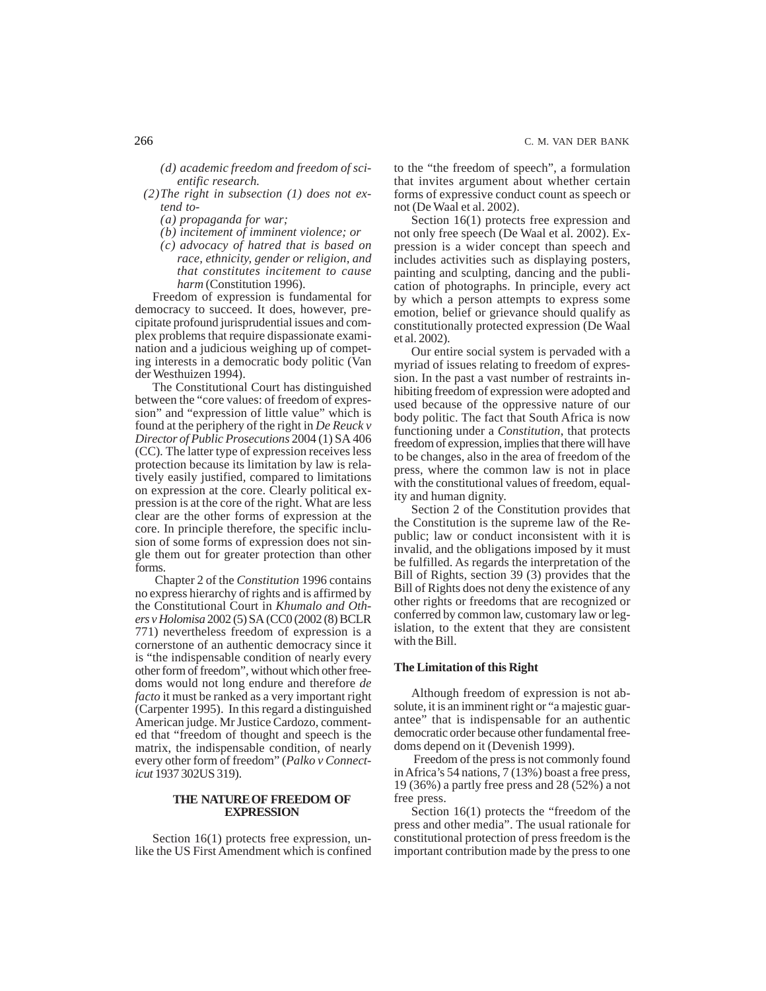- *(d) academic freedom and freedom of scientific research.*
- *(2)The right in subsection (1) does not extend to-*
	- *(a) propaganda for war;*
	- *(b) incitement of imminent violence; or*
	- *(c) advocacy of hatred that is based on race, ethnicity, gender or religion, and that constitutes incitement to cause harm* (Constitution 1996).

Freedom of expression is fundamental for democracy to succeed. It does, however, precipitate profound jurisprudential issues and complex problems that require dispassionate examination and a judicious weighing up of competing interests in a democratic body politic (Van der Westhuizen 1994).

The Constitutional Court has distinguished between the "core values: of freedom of expression" and "expression of little value" which is found at the periphery of the right in *De Reuck v Director of Public Prosecutions* 2004 (1) SA 406 (CC)*.* The latter type of expression receives less protection because its limitation by law is relatively easily justified, compared to limitations on expression at the core. Clearly political expression is at the core of the right. What are less clear are the other forms of expression at the core. In principle therefore, the specific inclusion of some forms of expression does not single them out for greater protection than other forms.

 Chapter 2 of the *Constitution* 1996 contains no express hierarchy of rights and is affirmed by the Constitutional Court in *Khumalo and Others v Holomisa* 2002 (5) SA (CC0 (2002 (8) BCLR 771) nevertheless freedom of expression is a cornerstone of an authentic democracy since it is "the indispensable condition of nearly every other form of freedom", without which other freedoms would not long endure and therefore *de facto* it must be ranked as a very important right (Carpenter 1995). In this regard a distinguished American judge. Mr Justice Cardozo, commented that "freedom of thought and speech is the matrix, the indispensable condition, of nearly every other form of freedom" (*Palko v Connecticut* 1937 302US 319).

### **THE NATURE OF FREEDOM OF EXPRESSION**

Section 16(1) protects free expression, unlike the US First Amendment which is confined to the "the freedom of speech", a formulation that invites argument about whether certain forms of expressive conduct count as speech or not (De Waal et al. 2002).

Section 16(1) protects free expression and not only free speech (De Waal et al. 2002). Expression is a wider concept than speech and includes activities such as displaying posters, painting and sculpting, dancing and the publication of photographs. In principle, every act by which a person attempts to express some emotion, belief or grievance should qualify as constitutionally protected expression (De Waal et al. 2002).

Our entire social system is pervaded with a myriad of issues relating to freedom of expression. In the past a vast number of restraints inhibiting freedom of expression were adopted and used because of the oppressive nature of our body politic. The fact that South Africa is now functioning under a *Constitution*, that protects freedom of expression*,* implies that there will have to be changes, also in the area of freedom of the press, where the common law is not in place with the constitutional values of freedom, equality and human dignity.

Section 2 of the Constitution provides that the Constitution is the supreme law of the Republic; law or conduct inconsistent with it is invalid, and the obligations imposed by it must be fulfilled. As regards the interpretation of the Bill of Rights, section 39 (3) provides that the Bill of Rights does not deny the existence of any other rights or freedoms that are recognized or conferred by common law, customary law or legislation, to the extent that they are consistent with the Bill.

#### **The Limitation of this Right**

Although freedom of expression is not absolute, it is an imminent right or "a majestic guarantee" that is indispensable for an authentic democratic order because other fundamental freedoms depend on it (Devenish 1999).

 Freedom of the press is not commonly found in Africa's 54 nations, 7 (13%) boast a free press, 19 (36%) a partly free press and 28 (52%) a not free press.

Section 16(1) protects the "freedom of the press and other media". The usual rationale for constitutional protection of press freedom is the important contribution made by the press to one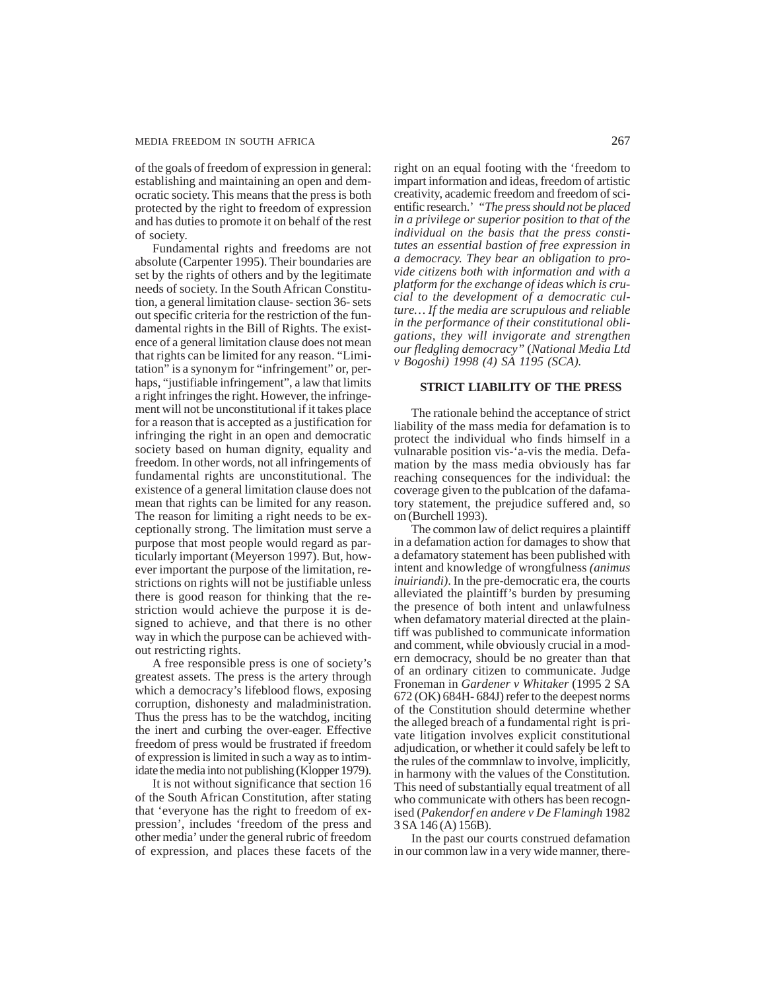of the goals of freedom of expression in general: establishing and maintaining an open and democratic society. This means that the press is both protected by the right to freedom of expression and has duties to promote it on behalf of the rest of society.

Fundamental rights and freedoms are not absolute (Carpenter 1995). Their boundaries are set by the rights of others and by the legitimate needs of society. In the South African Constitution, a general limitation clause- section 36- sets out specific criteria for the restriction of the fundamental rights in the Bill of Rights. The existence of a general limitation clause does not mean that rights can be limited for any reason. "Limitation" is a synonym for "infringement" or, perhaps, "justifiable infringement", a law that limits a right infringes the right. However, the infringement will not be unconstitutional if it takes place for a reason that is accepted as a justification for infringing the right in an open and democratic society based on human dignity, equality and freedom. In other words, not all infringements of fundamental rights are unconstitutional. The existence of a general limitation clause does not mean that rights can be limited for any reason. The reason for limiting a right needs to be exceptionally strong. The limitation must serve a purpose that most people would regard as particularly important (Meyerson 1997). But, however important the purpose of the limitation, restrictions on rights will not be justifiable unless there is good reason for thinking that the restriction would achieve the purpose it is designed to achieve, and that there is no other way in which the purpose can be achieved without restricting rights.

A free responsible press is one of society's greatest assets. The press is the artery through which a democracy's lifeblood flows, exposing corruption, dishonesty and maladministration. Thus the press has to be the watchdog, inciting the inert and curbing the over-eager. Effective freedom of press would be frustrated if freedom of expression is limited in such a way as to intimidate the media into not publishing (Klopper 1979).

It is not without significance that section 16 of the South African Constitution, after stating that 'everyone has the right to freedom of expression', includes 'freedom of the press and other media' under the general rubric of freedom of expression, and places these facets of the right on an equal footing with the 'freedom to impart information and ideas, freedom of artistic creativity, academic freedom and freedom of scientific research.' *"The press should not be placed in a privilege or superior position to that of the individual on the basis that the press constitutes an essential bastion of free expression in a democracy. They bear an obligation to provide citizens both with information and with a platform for the exchange of ideas which is crucial to the development of a democratic culture… If the media are scrupulous and reliable in the performance of their constitutional obligations, they will invigorate and strengthen our fledgling democracy"* (*National Media Ltd v Bogoshi) 1998 (4) SA 1195 (SCA).*

## **STRICT LIABILITY OF THE PRESS**

The rationale behind the acceptance of strict liability of the mass media for defamation is to protect the individual who finds himself in a vulnarable position vis-'a-vis the media. Defamation by the mass media obviously has far reaching consequences for the individual: the coverage given to the publcation of the dafamatory statement, the prejudice suffered and, so on (Burchell 1993).

The common law of delict requires a plaintiff in a defamation action for damages to show that a defamatory statement has been published with intent and knowledge of wrongfulness *(animus inuiriandi)*. In the pre-democratic era, the courts alleviated the plaintiff's burden by presuming the presence of both intent and unlawfulness when defamatory material directed at the plaintiff was published to communicate information and comment, while obviously crucial in a modern democracy, should be no greater than that of an ordinary citizen to communicate. Judge Froneman in *Gardener v Whitaker* (1995 2 SA 672 (OK) 684H- 684J) refer to the deepest norms of the Constitution should determine whether the alleged breach of a fundamental right is private litigation involves explicit constitutional adjudication, or whether it could safely be left to the rules of the commnlaw to involve, implicitly, in harmony with the values of the Constitution*.* This need of substantially equal treatment of all who communicate with others has been recognised (*Pakendorf en andere v De Flamingh* 1982 3 SA 146 (A) 156B).

In the past our courts construed defamation in our common law in a very wide manner, there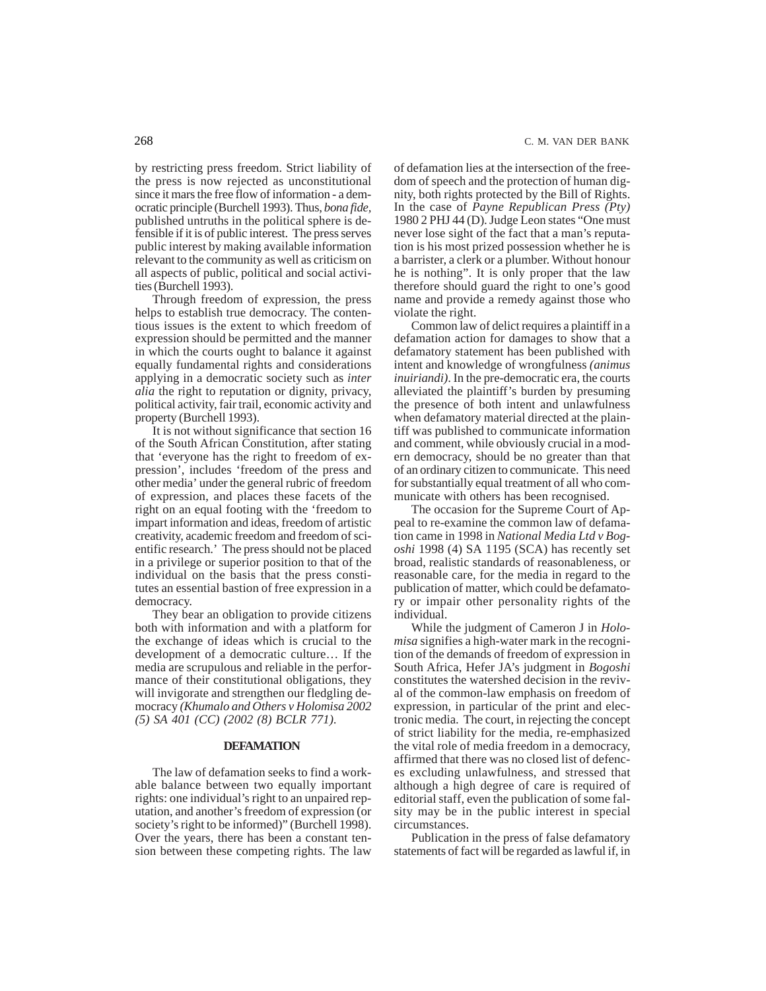by restricting press freedom. Strict liability of the press is now rejected as unconstitutional since it mars the free flow of information - a democratic principle (Burchell 1993). Thus, *bona fide,* published untruths in the political sphere is defensible if it is of public interest. The press serves public interest by making available information relevant to the community as well as criticism on all aspects of public, political and social activities (Burchell 1993).

Through freedom of expression, the press helps to establish true democracy. The contentious issues is the extent to which freedom of expression should be permitted and the manner in which the courts ought to balance it against equally fundamental rights and considerations applying in a democratic society such as *inter alia* the right to reputation or dignity, privacy, political activity, fair trail, economic activity and property (Burchell 1993).

It is not without significance that section 16 of the South African Constitution, after stating that 'everyone has the right to freedom of expression', includes 'freedom of the press and other media' under the general rubric of freedom of expression, and places these facets of the right on an equal footing with the 'freedom to impart information and ideas, freedom of artistic creativity, academic freedom and freedom of scientific research.' The press should not be placed in a privilege or superior position to that of the individual on the basis that the press constitutes an essential bastion of free expression in a democracy.

They bear an obligation to provide citizens both with information and with a platform for the exchange of ideas which is crucial to the development of a democratic culture… If the media are scrupulous and reliable in the performance of their constitutional obligations, they will invigorate and strengthen our fledgling democracy *(Khumalo and Others v Holomisa 2002 (5) SA 401 (CC) (2002 (8) BCLR 771).*

#### **DEFAMATION**

The law of defamation seeks to find a workable balance between two equally important rights: one individual's right to an unpaired reputation, and another's freedom of expression (or society's right to be informed)" (Burchell 1998). Over the years, there has been a constant tension between these competing rights. The law of defamation lies at the intersection of the freedom of speech and the protection of human dignity, both rights protected by the Bill of Rights. In the case of *Payne Republican Press (Pty)* 1980 2 PHJ 44 (D).Judge Leon states "One must never lose sight of the fact that a man's reputation is his most prized possession whether he is a barrister, a clerk or a plumber. Without honour he is nothing". It is only proper that the law therefore should guard the right to one's good name and provide a remedy against those who violate the right.

Common law of delict requires a plaintiff in a defamation action for damages to show that a defamatory statement has been published with intent and knowledge of wrongfulness *(animus inuiriandi)*. In the pre-democratic era, the courts alleviated the plaintiff's burden by presuming the presence of both intent and unlawfulness when defamatory material directed at the plaintiff was published to communicate information and comment, while obviously crucial in a modern democracy, should be no greater than that of an ordinary citizen to communicate. This need for substantially equal treatment of all who communicate with others has been recognised.

The occasion for the Supreme Court of Appeal to re-examine the common law of defamation came in 1998 in *National Media Ltd v Bogoshi* 1998 (4) SA 1195 (SCA) has recently set broad, realistic standards of reasonableness, or reasonable care, for the media in regard to the publication of matter, which could be defamatory or impair other personality rights of the individual.

While the judgment of Cameron J in *Holomisa* signifies a high-water mark in the recognition of the demands of freedom of expression in South Africa, Hefer JA's judgment in *Bogoshi* constitutes the watershed decision in the revival of the common-law emphasis on freedom of expression, in particular of the print and electronic media. The court, in rejecting the concept of strict liability for the media, re-emphasized the vital role of media freedom in a democracy, affirmed that there was no closed list of defences excluding unlawfulness, and stressed that although a high degree of care is required of editorial staff, even the publication of some falsity may be in the public interest in special circumstances.

Publication in the press of false defamatory statements of fact will be regarded as lawful if, in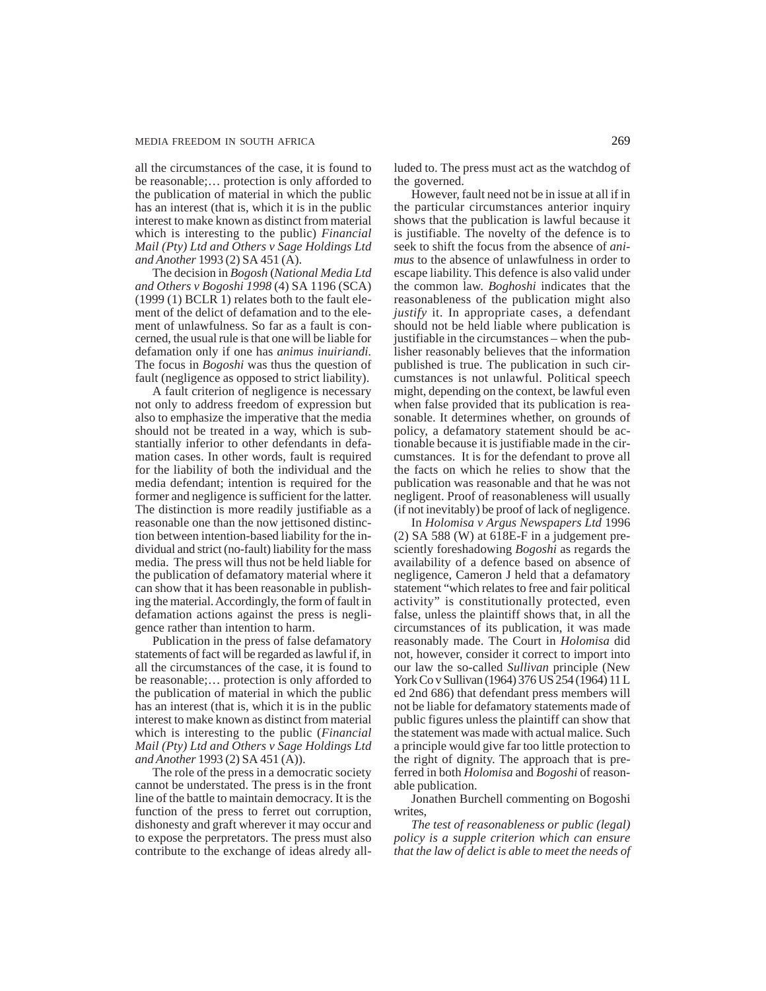all the circumstances of the case, it is found to be reasonable;… protection is only afforded to the publication of material in which the public has an interest (that is, which it is in the public interest to make known as distinct from material which is interesting to the public) *Financial Mail (Pty) Ltd and Others v Sage Holdings Ltd and Another* 1993 (2) SA 451 (A).

The decision in *Bogosh* (*National Media Ltd and Others v Bogoshi 1998* (4) SA 1196 (SCA) (1999 (1) BCLR 1) relates both to the fault element of the delict of defamation and to the element of unlawfulness. So far as a fault is concerned, the usual rule is that one will be liable for defamation only if one has *animus inuiriandi.* The focus in *Bogoshi* was thus the question of fault (negligence as opposed to strict liability).

A fault criterion of negligence is necessary not only to address freedom of expression but also to emphasize the imperative that the media should not be treated in a way, which is substantially inferior to other defendants in defamation cases. In other words, fault is required for the liability of both the individual and the media defendant; intention is required for the former and negligence is sufficient for the latter. The distinction is more readily justifiable as a reasonable one than the now jettisoned distinction between intention-based liability for the individual and strict (no-fault) liability for the mass media. The press will thus not be held liable for the publication of defamatory material where it can show that it has been reasonable in publishing the material. Accordingly, the form of fault in defamation actions against the press is negligence rather than intention to harm.

Publication in the press of false defamatory statements of fact will be regarded as lawful if, in all the circumstances of the case, it is found to be reasonable;… protection is only afforded to the publication of material in which the public has an interest (that is, which it is in the public interest to make known as distinct from material which is interesting to the public (*Financial Mail (Pty) Ltd and Others v Sage Holdings Ltd and Another* 1993 (2) SA 451 (A)).

The role of the press in a democratic society cannot be understated. The press is in the front line of the battle to maintain democracy. It is the function of the press to ferret out corruption, dishonesty and graft wherever it may occur and to expose the perpretators. The press must also contribute to the exchange of ideas alredy allluded to. The press must act as the watchdog of the governed.

However, fault need not be in issue at all if in the particular circumstances anterior inquiry shows that the publication is lawful because it is justifiable. The novelty of the defence is to seek to shift the focus from the absence of *animus* to the absence of unlawfulness in order to escape liability. This defence is also valid under the common law. *Boghoshi* indicates that the reasonableness of the publication might also *justify* it. In appropriate cases, a defendant should not be held liable where publication is justifiable in the circumstances – when the publisher reasonably believes that the information published is true. The publication in such circumstances is not unlawful. Political speech might, depending on the context, be lawful even when false provided that its publication is reasonable. It determines whether, on grounds of policy, a defamatory statement should be actionable because it is justifiable made in the circumstances. It is for the defendant to prove all the facts on which he relies to show that the publication was reasonable and that he was not negligent. Proof of reasonableness will usually (if not inevitably) be proof of lack of negligence.

In *Holomisa v Argus Newspapers Ltd* 1996  $(2)$  SA 588 (W) at 618E-F in a judgement presciently foreshadowing *Bogoshi* as regards the availability of a defence based on absence of negligence, Cameron J held that a defamatory statement "which relates to free and fair political activity" is constitutionally protected, even false, unless the plaintiff shows that, in all the circumstances of its publication, it was made reasonably made. The Court in *Holomisa* did not, however, consider it correct to import into our law the so-called *Sullivan* principle (New York Co v Sullivan (1964) 376 US 254 (1964) 11 L ed 2nd 686) that defendant press members will not be liable for defamatory statements made of public figures unless the plaintiff can show that the statement was made with actual malice. Such a principle would give far too little protection to the right of dignity. The approach that is preferred in both *Holomisa* and *Bogoshi* of reasonable publication.

Jonathen Burchell commenting on Bogoshi writes,

*The test of reasonableness or public (legal) policy is a supple criterion which can ensure that the law of delict is able to meet the needs of*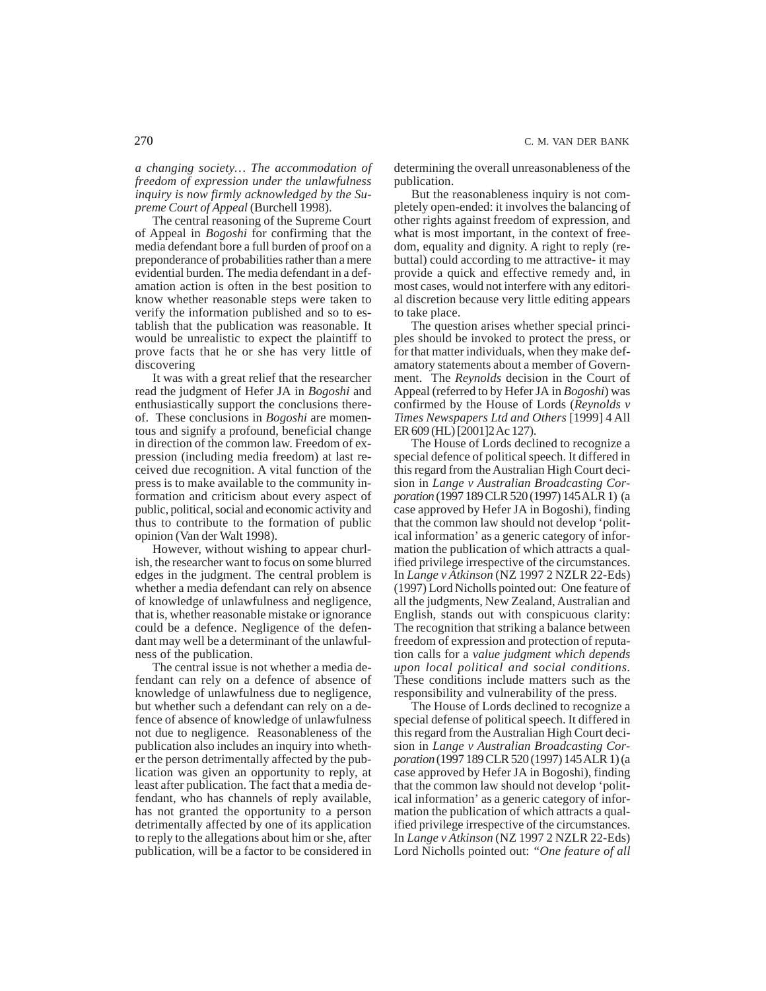*a changing society… The accommodation of freedom of expression under the unlawfulness inquiry is now firmly acknowledged by the Supreme Court of Appeal* (Burchell 1998).

The central reasoning of the Supreme Court of Appeal in *Bogoshi* for confirming that the media defendant bore a full burden of proof on a preponderance of probabilities rather than a mere evidential burden. The media defendant in a defamation action is often in the best position to know whether reasonable steps were taken to verify the information published and so to establish that the publication was reasonable. It would be unrealistic to expect the plaintiff to prove facts that he or she has very little of discovering

It was with a great relief that the researcher read the judgment of Hefer JA in *Bogoshi* and enthusiastically support the conclusions thereof. These conclusions in *Bogoshi* are momentous and signify a profound, beneficial change in direction of the common law. Freedom of expression (including media freedom) at last received due recognition. A vital function of the press is to make available to the community information and criticism about every aspect of public, political, social and economic activity and thus to contribute to the formation of public opinion (Van der Walt 1998).

However, without wishing to appear churlish, the researcher want to focus on some blurred edges in the judgment. The central problem is whether a media defendant can rely on absence of knowledge of unlawfulness and negligence, that is, whether reasonable mistake or ignorance could be a defence. Negligence of the defendant may well be a determinant of the unlawfulness of the publication.

The central issue is not whether a media defendant can rely on a defence of absence of knowledge of unlawfulness due to negligence, but whether such a defendant can rely on a defence of absence of knowledge of unlawfulness not due to negligence. Reasonableness of the publication also includes an inquiry into whether the person detrimentally affected by the publication was given an opportunity to reply, at least after publication. The fact that a media defendant, who has channels of reply available, has not granted the opportunity to a person detrimentally affected by one of its application to reply to the allegations about him or she, after publication, will be a factor to be considered in determining the overall unreasonableness of the publication.

But the reasonableness inquiry is not completely open-ended: it involves the balancing of other rights against freedom of expression, and what is most important, in the context of freedom, equality and dignity. A right to reply (rebuttal) could according to me attractive- it may provide a quick and effective remedy and, in most cases, would not interfere with any editorial discretion because very little editing appears to take place.

The question arises whether special principles should be invoked to protect the press, or for that matter individuals, when they make defamatory statements about a member of Government. The *Reynolds* decision in the Court of Appeal (referred to by Hefer JA in *Bogoshi*) was confirmed by the House of Lords (*Reynolds v Times Newspapers Ltd and Others* [1999] 4 All ER 609 (HL) [2001]2 Ac 127).

The House of Lords declined to recognize a special defence of political speech. It differed in this regard from the Australian High Court decision in *Lange v Australian Broadcasting Corporation* (1997 189 CLR 520 (1997) 145 ALR 1) (a case approved by Hefer JA in Bogoshi), finding that the common law should not develop 'political information' as a generic category of information the publication of which attracts a qualified privilege irrespective of the circumstances. In *Lange v Atkinson* (NZ 1997 2 NZLR 22-Eds) (1997) Lord Nicholls pointed out: One feature of all the judgments, New Zealand, Australian and English, stands out with conspicuous clarity: The recognition that striking a balance between freedom of expression and protection of reputation calls for a *value judgment which depends upon local political and social conditions.* These conditions include matters such as the responsibility and vulnerability of the press.

The House of Lords declined to recognize a special defense of political speech. It differed in this regard from the Australian High Court decision in *Lange v Australian Broadcasting Corporation* (1997 189 CLR 520 (1997) 145 ALR 1) (a case approved by Hefer JA in Bogoshi), finding that the common law should not develop 'political information' as a generic category of information the publication of which attracts a qualified privilege irrespective of the circumstances. In *Lange v Atkinson* (NZ 1997 2 NZLR 22-Eds) Lord Nicholls pointed out: *"One feature of all*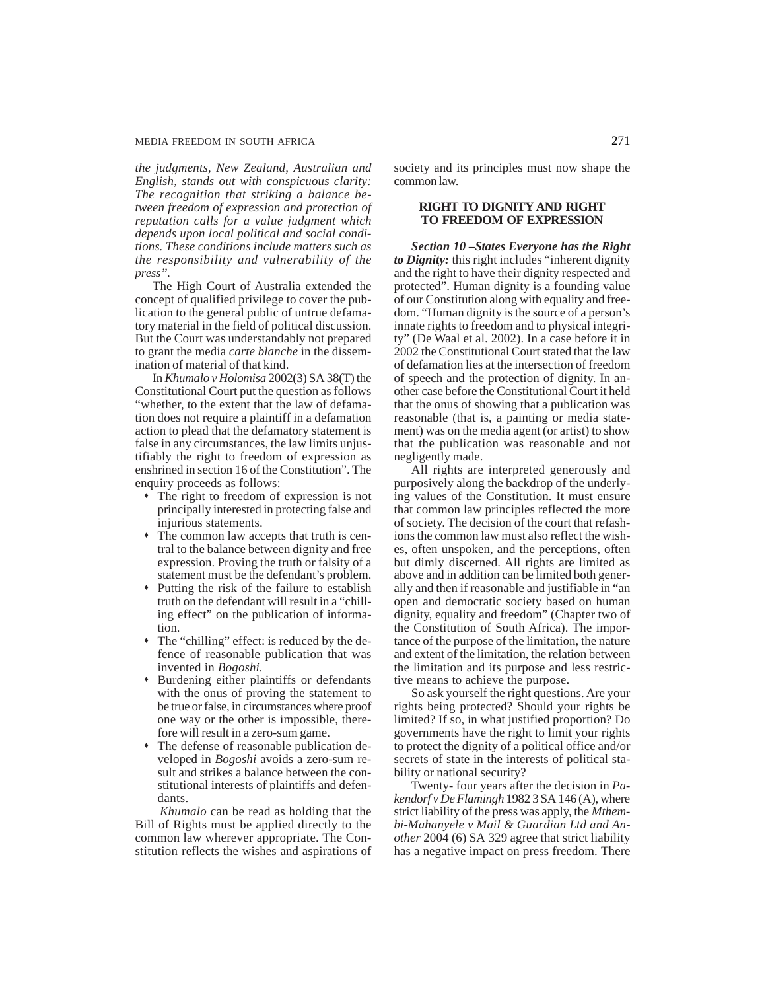*the judgments, New Zealand, Australian and English, stands out with conspicuous clarity: The recognition that striking a balance between freedom of expression and protection of reputation calls for a value judgment which depends upon local political and social conditions. These conditions include matters such as the responsibility and vulnerability of the press".*

The High Court of Australia extended the concept of qualified privilege to cover the publication to the general public of untrue defamatory material in the field of political discussion. But the Court was understandably not prepared to grant the media *carte blanche* in the dissemination of material of that kind.

In *Khumalo v Holomisa* 2002(3) SA 38(T) the Constitutional Court put the question as follows "whether, to the extent that the law of defamation does not require a plaintiff in a defamation action to plead that the defamatory statement is false in any circumstances, the law limits unjustifiably the right to freedom of expression as enshrined in section 16 of the Constitution". The enquiry proceeds as follows:

- The right to freedom of expression is not principally interested in protecting false and injurious statements.
- The common law accepts that truth is central to the balance between dignity and free expression. Proving the truth or falsity of a statement must be the defendant's problem.
- Putting the risk of the failure to establish truth on the defendant will result in a "chilling effect" on the publication of information.
- The "chilling" effect: is reduced by the defence of reasonable publication that was invented in *Bogoshi.*
- Burdening either plaintiffs or defendants with the onus of proving the statement to be true or false, in circumstances where proof one way or the other is impossible, therefore will result in a zero-sum game.
- The defense of reasonable publication developed in *Bogoshi* avoids a zero-sum result and strikes a balance between the constitutional interests of plaintiffs and defendants.

 *Khumalo* can be read as holding that the Bill of Rights must be applied directly to the common law wherever appropriate. The Constitution reflects the wishes and aspirations of society and its principles must now shape the common law.

## **RIGHT TO DIGNITY AND RIGHT TO FREEDOM OF EXPRESSION**

*Section 10 –States Everyone has the Right to Dignity:* this right includes "inherent dignity and the right to have their dignity respected and protected". Human dignity is a founding value of our Constitution along with equality and freedom. "Human dignity is the source of a person's innate rights to freedom and to physical integrity" (De Waal et al. 2002). In a case before it in 2002 the Constitutional Court stated that the law of defamation lies at the intersection of freedom of speech and the protection of dignity. In another case before the Constitutional Court it held that the onus of showing that a publication was reasonable (that is, a painting or media statement) was on the media agent (or artist) to show that the publication was reasonable and not negligently made.

All rights are interpreted generously and purposively along the backdrop of the underlying values of the Constitution. It must ensure that common law principles reflected the more of society. The decision of the court that refashions the common law must also reflect the wishes, often unspoken, and the perceptions, often but dimly discerned. All rights are limited as above and in addition can be limited both generally and then if reasonable and justifiable in "an open and democratic society based on human dignity, equality and freedom" (Chapter two of the Constitution of South Africa). The importance of the purpose of the limitation, the nature and extent of the limitation, the relation between the limitation and its purpose and less restrictive means to achieve the purpose.

So ask yourself the right questions. Are your rights being protected? Should your rights be limited? If so, in what justified proportion? Do governments have the right to limit your rights to protect the dignity of a political office and/or secrets of state in the interests of political stability or national security?

Twenty- four years after the decision in *Pakendorf v De Flamingh* 1982 3 SA 146 (A), where strict liability of the press was apply, the *Mthembi-Mahanyele v Mail & Guardian Ltd and Another* 2004 (6) SA 329 agree that strict liability has a negative impact on press freedom. There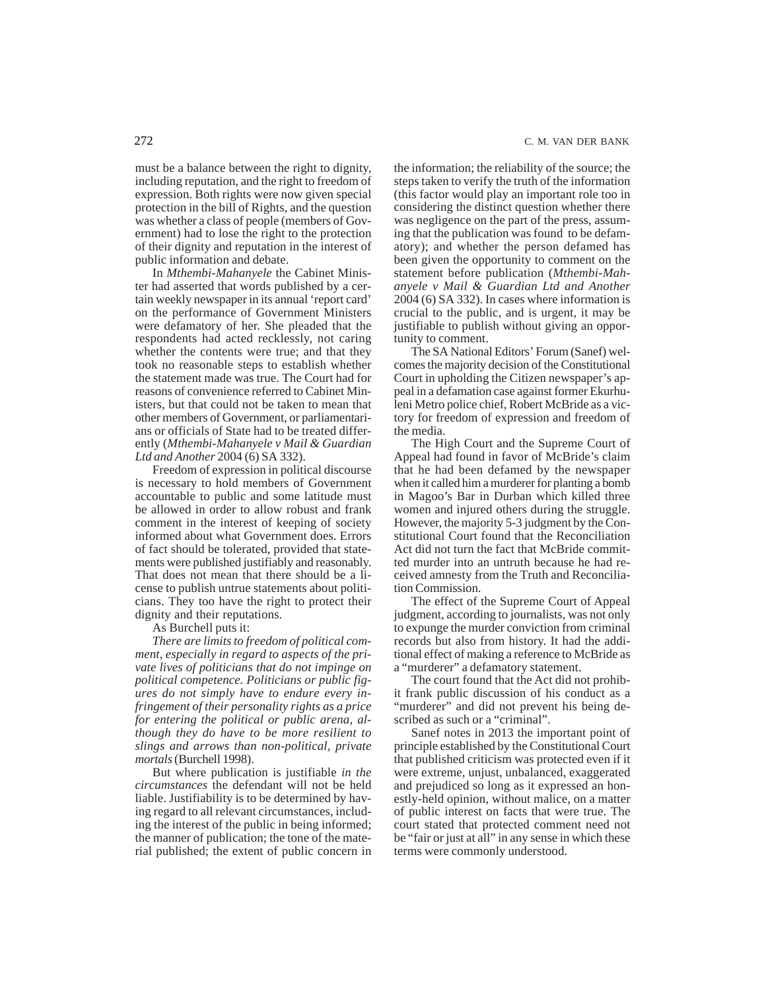must be a balance between the right to dignity, including reputation, and the right to freedom of expression. Both rights were now given special protection in the bill of Rights, and the question was whether a class of people (members of Government) had to lose the right to the protection of their dignity and reputation in the interest of public information and debate.

In *Mthembi-Mahanyele* the Cabinet Minister had asserted that words published by a certain weekly newspaper in its annual 'report card' on the performance of Government Ministers were defamatory of her. She pleaded that the respondents had acted recklessly, not caring whether the contents were true; and that they took no reasonable steps to establish whether the statement made was true. The Court had for reasons of convenience referred to Cabinet Ministers, but that could not be taken to mean that other members of Government, or parliamentarians or officials of State had to be treated differently (*Mthembi-Mahanyele v Mail & Guardian Ltd and Another* 2004 (6) SA 332).

Freedom of expression in political discourse is necessary to hold members of Government accountable to public and some latitude must be allowed in order to allow robust and frank comment in the interest of keeping of society informed about what Government does. Errors of fact should be tolerated, provided that statements were published justifiably and reasonably. That does not mean that there should be a license to publish untrue statements about politicians. They too have the right to protect their dignity and their reputations.

As Burchell puts it:

*There are limits to freedom of political comment, especially in regard to aspects of the private lives of politicians that do not impinge on political competence. Politicians or public figures do not simply have to endure every infringement of their personality rights as a price for entering the political or public arena, although they do have to be more resilient to slings and arrows than non-political, private mortals* (Burchell 1998).

But where publication is justifiable *in the circumstances* the defendant will not be held liable. Justifiability is to be determined by having regard to all relevant circumstances, including the interest of the public in being informed; the manner of publication; the tone of the material published; the extent of public concern in the information; the reliability of the source; the steps taken to verify the truth of the information (this factor would play an important role too in considering the distinct question whether there was negligence on the part of the press, assuming that the publication was found to be defamatory); and whether the person defamed has been given the opportunity to comment on the statement before publication (*Mthembi-Mahanyele v Mail & Guardian Ltd and Another* 2004 (6) SA 332). In cases where information is crucial to the public, and is urgent, it may be justifiable to publish without giving an opportunity to comment.

The SA National Editors' Forum (Sanef) welcomes the majority decision of the Constitutional Court in upholding the Citizen newspaper's appeal in a defamation case against former Ekurhuleni Metro police chief, Robert McBride as a victory for freedom of expression and freedom of the media.

The High Court and the Supreme Court of Appeal had found in favor of McBride's claim that he had been defamed by the newspaper when it called him a murderer for planting a bomb in Magoo's Bar in Durban which killed three women and injured others during the struggle. However, the majority 5-3 judgment by the Constitutional Court found that the Reconciliation Act did not turn the fact that McBride committed murder into an untruth because he had received amnesty from the Truth and Reconciliation Commission.

The effect of the Supreme Court of Appeal judgment, according to journalists, was not only to expunge the murder conviction from criminal records but also from history. It had the additional effect of making a reference to McBride as a "murderer" a defamatory statement.

The court found that the Act did not prohibit frank public discussion of his conduct as a "murderer" and did not prevent his being described as such or a "criminal".

Sanef notes in 2013 the important point of principle established by the Constitutional Court that published criticism was protected even if it were extreme, unjust, unbalanced, exaggerated and prejudiced so long as it expressed an honestly-held opinion, without malice, on a matter of public interest on facts that were true. The court stated that protected comment need not be "fair or just at all" in any sense in which these terms were commonly understood.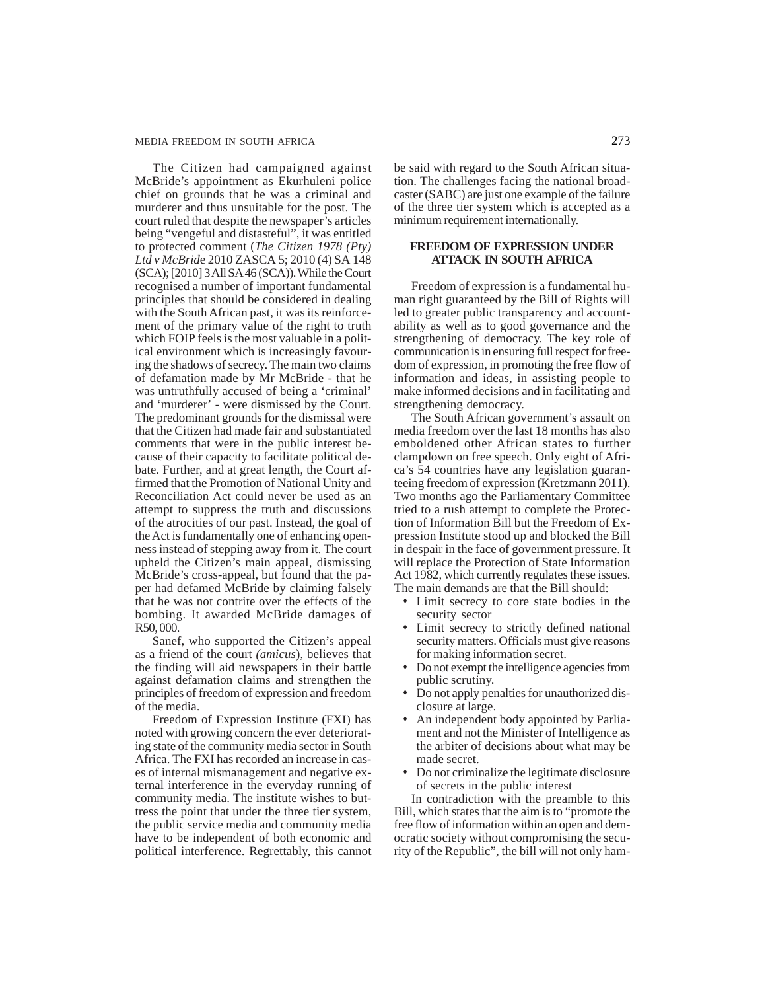The Citizen had campaigned against McBride's appointment as Ekurhuleni police chief on grounds that he was a criminal and murderer and thus unsuitable for the post. The court ruled that despite the newspaper's articles being "vengeful and distasteful", it was entitled to protected comment (*The Citizen 1978 (Pty) Ltd v McBrid*e 2010 ZASCA 5; 2010 (4) SA 148 (SCA); [2010] 3 All SA 46 (SCA)). While the Court recognised a number of important fundamental principles that should be considered in dealing with the South African past, it was its reinforcement of the primary value of the right to truth which FOIP feels is the most valuable in a political environment which is increasingly favouring the shadows of secrecy. The main two claims of defamation made by Mr McBride - that he was untruthfully accused of being a 'criminal' and 'murderer' - were dismissed by the Court. The predominant grounds for the dismissal were that the Citizen had made fair and substantiated comments that were in the public interest because of their capacity to facilitate political debate. Further, and at great length, the Court affirmed that the Promotion of National Unity and Reconciliation Act could never be used as an attempt to suppress the truth and discussions of the atrocities of our past. Instead, the goal of the Act is fundamentally one of enhancing openness instead of stepping away from it. The court upheld the Citizen's main appeal, dismissing McBride's cross-appeal, but found that the paper had defamed McBride by claiming falsely that he was not contrite over the effects of the bombing. It awarded McBride damages of R50, 000.

Sanef, who supported the Citizen's appeal as a friend of the court *(amicus*), believes that the finding will aid newspapers in their battle against defamation claims and strengthen the principles of freedom of expression and freedom of the media.

Freedom of Expression Institute (FXI) has noted with growing concern the ever deteriorating state of the community media sector in South Africa. The FXI has recorded an increase in cases of internal mismanagement and negative external interference in the everyday running of community media. The institute wishes to buttress the point that under the three tier system, the public service media and community media have to be independent of both economic and political interference. Regrettably, this cannot be said with regard to the South African situation. The challenges facing the national broadcaster (SABC) are just one example of the failure of the three tier system which is accepted as a minimum requirement internationally.

## **FREEDOM OF EXPRESSION UNDER ATTACK IN SOUTH AFRICA**

Freedom of expression is a fundamental human right guaranteed by the Bill of Rights will led to greater public transparency and accountability as well as to good governance and the strengthening of democracy. The key role of communication is in ensuring full respect for freedom of expression, in promoting the free flow of information and ideas, in assisting people to make informed decisions and in facilitating and strengthening democracy.

The South African government's assault on media freedom over the last 18 months has also emboldened other African states to further clampdown on free speech. Only eight of Africa's 54 countries have any legislation guaranteeing freedom of expression (Kretzmann 2011). Two months ago the Parliamentary Committee tried to a rush attempt to complete the Protection of Information Bill but the Freedom of Expression Institute stood up and blocked the Bill in despair in the face of government pressure. It will replace the Protection of State Information Act 1982, which currently regulates these issues. The main demands are that the Bill should:

- Limit secrecy to core state bodies in the security sector
- Limit secrecy to strictly defined national security matters. Officials must give reasons for making information secret.
- Do not exempt the intelligence agencies from public scrutiny.
- Do not apply penalties for unauthorized disclosure at large.
- An independent body appointed by Parliament and not the Minister of Intelligence as the arbiter of decisions about what may be made secret.
- Do not criminalize the legitimate disclosure of secrets in the public interest

In contradiction with the preamble to this Bill, which states that the aim is to "promote the free flow of information within an open and democratic society without compromising the security of the Republic", the bill will not only ham-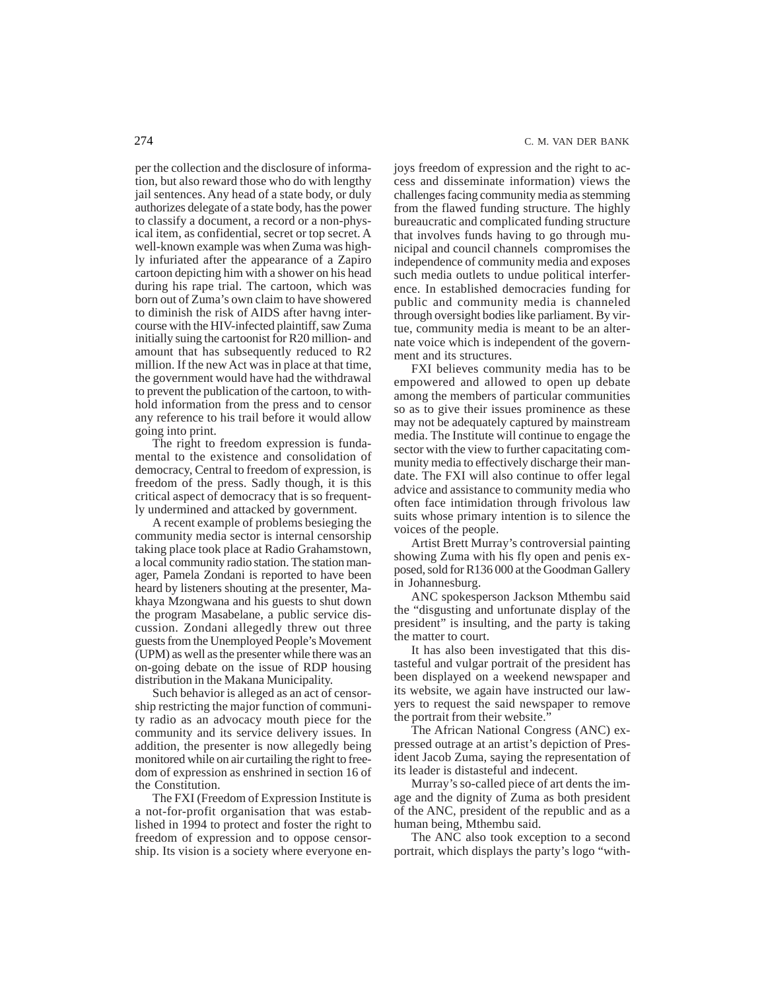per the collection and the disclosure of information, but also reward those who do with lengthy jail sentences. Any head of a state body, or duly authorizes delegate of a state body, has the power to classify a document, a record or a non-physical item, as confidential, secret or top secret. A well-known example was when Zuma was highly infuriated after the appearance of a Zapiro cartoon depicting him with a shower on his head during his rape trial. The cartoon, which was born out of Zuma's own claim to have showered to diminish the risk of AIDS after havng intercourse with the HIV-infected plaintiff, saw Zuma initially suing the cartoonist for R20 million- and amount that has subsequently reduced to R2 million. If the new Act was in place at that time, the government would have had the withdrawal to prevent the publication of the cartoon, to withhold information from the press and to censor any reference to his trail before it would allow going into print.

The right to freedom expression is fundamental to the existence and consolidation of democracy, Central to freedom of expression, is freedom of the press. Sadly though, it is this critical aspect of democracy that is so frequently undermined and attacked by government.

A recent example of problems besieging the community media sector is internal censorship taking place took place at Radio Grahamstown, a local community radio station. The station manager, Pamela Zondani is reported to have been heard by listeners shouting at the presenter, Makhaya Mzongwana and his guests to shut down the program Masabelane, a public service discussion. Zondani allegedly threw out three guests from the Unemployed People's Movement (UPM) as well as the presenter while there was an on-going debate on the issue of RDP housing distribution in the Makana Municipality.

Such behavior is alleged as an act of censorship restricting the major function of community radio as an advocacy mouth piece for the community and its service delivery issues. In addition, the presenter is now allegedly being monitored while on air curtailing the right to freedom of expression as enshrined in section 16 of the Constitution.

The FXI (Freedom of Expression Institute is a not-for-profit organisation that was established in 1994 to protect and foster the right to freedom of expression and to oppose censorship. Its vision is a society where everyone enjoys freedom of expression and the right to access and disseminate information) views the challenges facing community media as stemming from the flawed funding structure. The highly bureaucratic and complicated funding structure that involves funds having to go through municipal and council channels compromises the independence of community media and exposes such media outlets to undue political interference. In established democracies funding for public and community media is channeled through oversight bodies like parliament. By virtue, community media is meant to be an alternate voice which is independent of the government and its structures.

FXI believes community media has to be empowered and allowed to open up debate among the members of particular communities so as to give their issues prominence as these may not be adequately captured by mainstream media. The Institute will continue to engage the sector with the view to further capacitating community media to effectively discharge their mandate. The FXI will also continue to offer legal advice and assistance to community media who often face intimidation through frivolous law suits whose primary intention is to silence the voices of the people.

Artist Brett Murray's controversial painting showing Zuma with his fly open and penis exposed, sold for R136 000 at the Goodman Gallery in Johannesburg.

ANC spokesperson Jackson Mthembu said the "disgusting and unfortunate display of the president" is insulting, and the party is taking the matter to court.

It has also been investigated that this distasteful and vulgar portrait of the president has been displayed on a weekend newspaper and its website, we again have instructed our lawyers to request the said newspaper to remove the portrait from their website."

The African National Congress (ANC) expressed outrage at an artist's depiction of President Jacob Zuma, saying the representation of its leader is distasteful and indecent.

Murray's so-called piece of art dents the image and the dignity of Zuma as both president of the ANC, president of the republic and as a human being, Mthembu said.

The ANC also took exception to a second portrait, which displays the party's logo "with-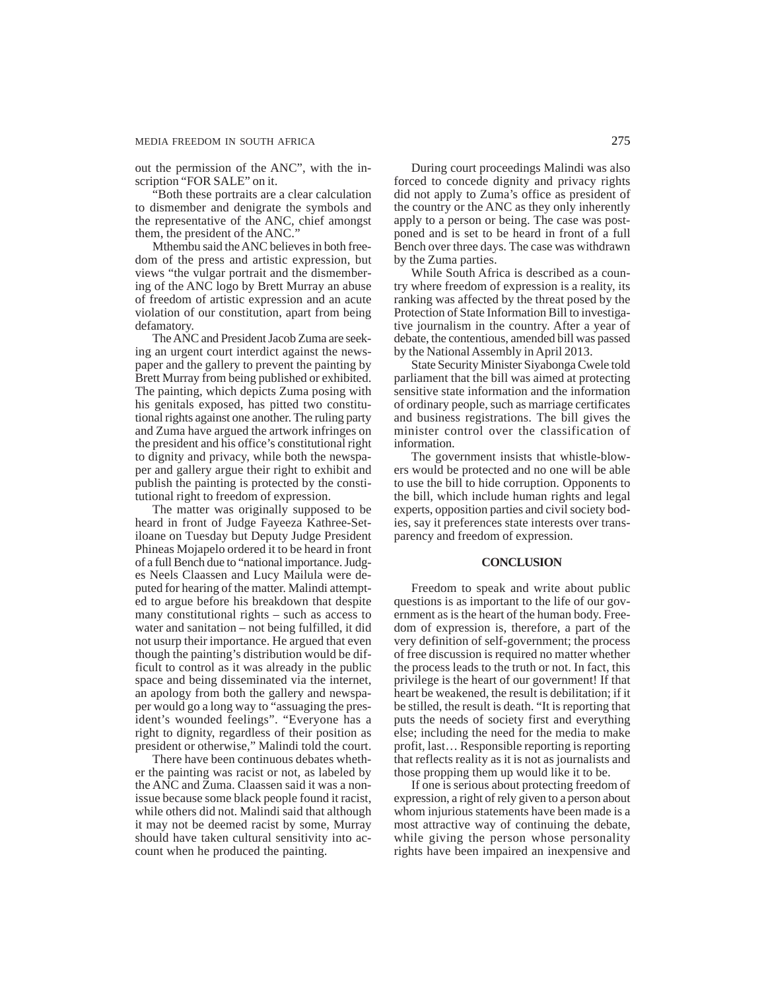out the permission of the ANC", with the inscription "FOR SALE" on it.

"Both these portraits are a clear calculation to dismember and denigrate the symbols and the representative of the ANC, chief amongst them, the president of the ANC."

Mthembu said the ANC believes in both freedom of the press and artistic expression, but views "the vulgar portrait and the dismembering of the ANC logo by Brett Murray an abuse of freedom of artistic expression and an acute violation of our constitution, apart from being defamatory.

The ANC and President Jacob Zuma are seeking an urgent court interdict against the newspaper and the gallery to prevent the painting by Brett Murray from being published or exhibited. The painting, which depicts Zuma posing with his genitals exposed, has pitted two constitutional rights against one another. The ruling party and Zuma have argued the artwork infringes on the president and his office's constitutional right to dignity and privacy, while both the newspaper and gallery argue their right to exhibit and publish the painting is protected by the constitutional right to freedom of expression.

The matter was originally supposed to be heard in front of Judge Fayeeza Kathree-Setiloane on Tuesday but Deputy Judge President Phineas Mojapelo ordered it to be heard in front of a full Bench due to "national importance. Judges Neels Claassen and Lucy Mailula were deputed for hearing of the matter. Malindi attempted to argue before his breakdown that despite many constitutional rights – such as access to water and sanitation – not being fulfilled, it did not usurp their importance. He argued that even though the painting's distribution would be difficult to control as it was already in the public space and being disseminated via the internet, an apology from both the gallery and newspaper would go a long way to "assuaging the president's wounded feelings". "Everyone has a right to dignity, regardless of their position as president or otherwise," Malindi told the court.

There have been continuous debates whether the painting was racist or not, as labeled by the ANC and Zuma. Claassen said it was a nonissue because some black people found it racist, while others did not. Malindi said that although it may not be deemed racist by some, Murray should have taken cultural sensitivity into account when he produced the painting.

During court proceedings Malindi was also forced to concede dignity and privacy rights did not apply to Zuma's office as president of the country or the ANC as they only inherently apply to a person or being. The case was postponed and is set to be heard in front of a full Bench over three days. The case was withdrawn by the Zuma parties.

While South Africa is described as a country where freedom of expression is a reality, its ranking was affected by the threat posed by the Protection of State Information Bill to investigative journalism in the country. After a year of debate, the contentious, amended bill was passed by the National Assembly in April 2013.

State Security Minister Siyabonga Cwele told parliament that the bill was aimed at protecting sensitive state information and the information of ordinary people, such as marriage certificates and business registrations. The bill gives the minister control over the classification of information.

The government insists that whistle-blowers would be protected and no one will be able to use the bill to hide corruption. Opponents to the bill, which include human rights and legal experts, opposition parties and civil society bodies, say it preferences state interests over transparency and freedom of expression.

#### **CONCLUSION**

Freedom to speak and write about public questions is as important to the life of our government as is the heart of the human body. Freedom of expression is, therefore, a part of the very definition of self-government; the process of free discussion is required no matter whether the process leads to the truth or not. In fact, this privilege is the heart of our government! If that heart be weakened, the result is debilitation; if it be stilled, the result is death. "It is reporting that puts the needs of society first and everything else; including the need for the media to make profit, last… Responsible reporting is reporting that reflects reality as it is not as journalists and those propping them up would like it to be.

If one is serious about protecting freedom of expression, a right of rely given to a person about whom injurious statements have been made is a most attractive way of continuing the debate, while giving the person whose personality rights have been impaired an inexpensive and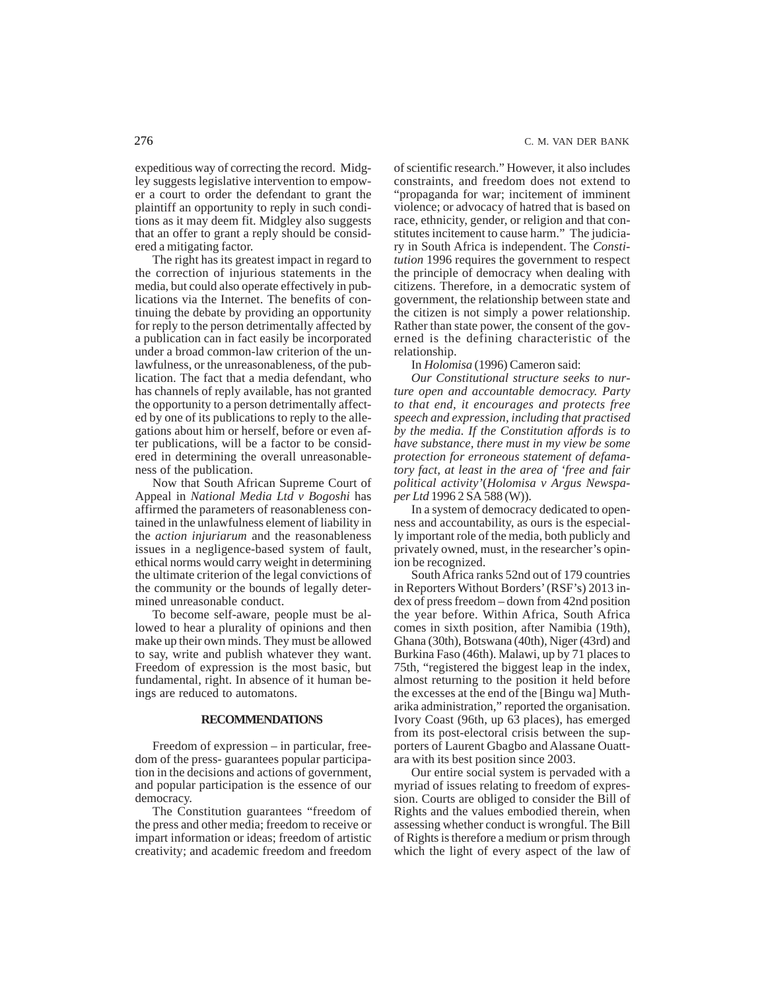expeditious way of correcting the record. Midgley suggests legislative intervention to empower a court to order the defendant to grant the plaintiff an opportunity to reply in such conditions as it may deem fit. Midgley also suggests that an offer to grant a reply should be considered a mitigating factor.

The right has its greatest impact in regard to the correction of injurious statements in the media, but could also operate effectively in publications via the Internet. The benefits of continuing the debate by providing an opportunity for reply to the person detrimentally affected by a publication can in fact easily be incorporated under a broad common-law criterion of the unlawfulness, or the unreasonableness, of the publication. The fact that a media defendant, who has channels of reply available, has not granted the opportunity to a person detrimentally affected by one of its publications to reply to the allegations about him or herself, before or even after publications, will be a factor to be considered in determining the overall unreasonableness of the publication.

Now that South African Supreme Court of Appeal in *National Media Ltd v Bogoshi* has affirmed the parameters of reasonableness contained in the unlawfulness element of liability in the *action injuriarum* and the reasonableness issues in a negligence-based system of fault, ethical norms would carry weight in determining the ultimate criterion of the legal convictions of the community or the bounds of legally determined unreasonable conduct.

To become self-aware, people must be allowed to hear a plurality of opinions and then make up their own minds. They must be allowed to say, write and publish whatever they want. Freedom of expression is the most basic, but fundamental, right. In absence of it human beings are reduced to automatons.

#### **RECOMMENDATIONS**

Freedom of expression – in particular, freedom of the press- guarantees popular participation in the decisions and actions of government, and popular participation is the essence of our democracy.

The Constitution guarantees "freedom of the press and other media; freedom to receive or impart information or ideas; freedom of artistic creativity; and academic freedom and freedom of scientific research." However, it also includes constraints, and freedom does not extend to "propaganda for war; incitement of imminent violence; or advocacy of hatred that is based on race, ethnicity, gender, or religion and that constitutes incitement to cause harm." The judiciary in South Africa is independent. The *Constitution* 1996 requires the government to respect the principle of democracy when dealing with citizens. Therefore, in a democratic system of government, the relationship between state and the citizen is not simply a power relationship. Rather than state power, the consent of the governed is the defining characteristic of the relationship.

In *Holomisa* (1996) Cameron said:

*Our Constitutional structure seeks to nurture open and accountable democracy. Party to that end, it encourages and protects free speech and expression, including that practised by the media. If the Constitution affords is to have substance, there must in my view be some protection for erroneous statement of defamatory fact, at least in the area of 'free and fair political activity'*(*Holomisa v Argus Newspaper Ltd* 1996 2 SA 588 (W)).

In a system of democracy dedicated to openness and accountability, as ours is the especially important role of the media, both publicly and privately owned, must, in the researcher's opinion be recognized.

South Africa ranks 52nd out of 179 countries in Reporters Without Borders' (RSF's) 2013 index of press freedom – down from 42nd position the year before. Within Africa, South Africa comes in sixth position, after Namibia (19th), Ghana (30th), Botswana (40th), Niger (43rd) and Burkina Faso (46th). Malawi, up by 71 places to 75th, "registered the biggest leap in the index, almost returning to the position it held before the excesses at the end of the [Bingu wa] Mutharika administration," reported the organisation. Ivory Coast (96th, up 63 places), has emerged from its post-electoral crisis between the supporters of Laurent Gbagbo and Alassane Ouattara with its best position since 2003.

Our entire social system is pervaded with a myriad of issues relating to freedom of expression. Courts are obliged to consider the Bill of Rights and the values embodied therein, when assessing whether conduct is wrongful. The Bill of Rights is therefore a medium or prism through which the light of every aspect of the law of